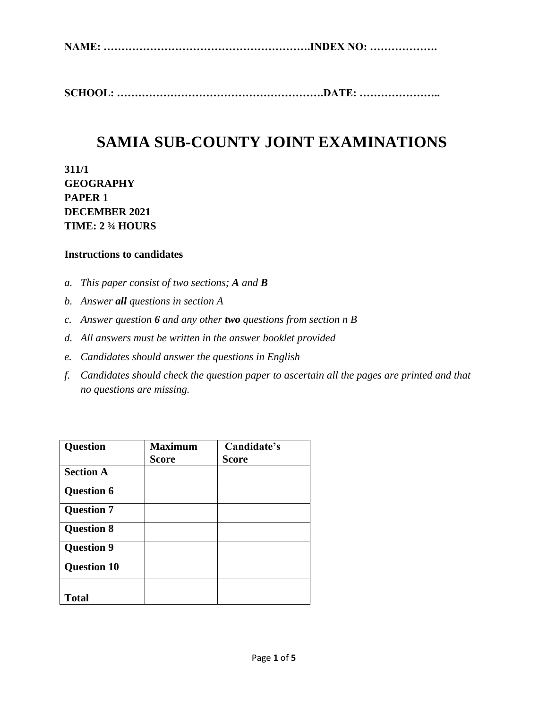**NAME: ………………………………………………….INDEX NO: ……………….**

**SCHOOL: ………………………………………………….DATE: …………………..**

# **SAMIA SUB-COUNTY JOINT EXAMINATIONS**

**311/1 GEOGRAPHY PAPER 1 DECEMBER 2021 TIME: 2 ¾ HOURS**

### **Instructions to candidates**

- *a. This paper consist of two sections; A and B*
- *b. Answer all questions in section A*
- *c. Answer question 6 and any other two questions from section n B*
- *d. All answers must be written in the answer booklet provided*
- *e. Candidates should answer the questions in English*
- *f. Candidates should check the question paper to ascertain all the pages are printed and that no questions are missing.*

| <b>Question</b>    | <b>Maximum</b> | Candidate's  |
|--------------------|----------------|--------------|
|                    | <b>Score</b>   | <b>Score</b> |
| <b>Section A</b>   |                |              |
| <b>Question 6</b>  |                |              |
| <b>Question 7</b>  |                |              |
| <b>Question 8</b>  |                |              |
| <b>Question 9</b>  |                |              |
| <b>Question 10</b> |                |              |
| <b>Total</b>       |                |              |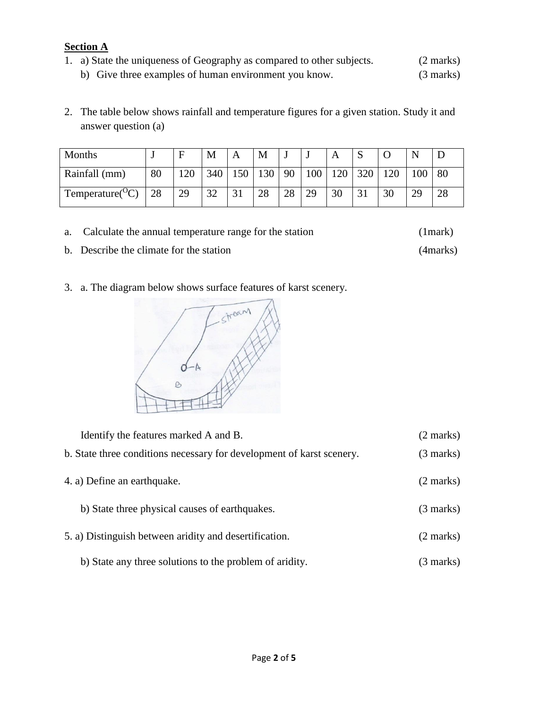## **Section A** 1. a) State the uniqueness of Geography as compared to other subjects. (2 marks) b) Give three examples of human environment you know. (3 marks)

2. The table below shows rainfall and temperature figures for a given station. Study it and answer question (a)

| Months                       | $\ddot{\phantom{1}}$ | F   | M   | Α                     | M   |    |     |     | ມ   |    |    |    |
|------------------------------|----------------------|-----|-----|-----------------------|-----|----|-----|-----|-----|----|----|----|
| Rainfall (mm)                | 80                   | .20 | 340 | 50                    | 130 | 90 | 100 | 120 | 320 | 20 | 00 | 80 |
| Temperature( ${}^{\circ}C$ ) | 28                   | 29  | 32  | $\mathbf{R}^{\prime}$ | 28  | 28 | 29  | 30  |     | 30 | 29 | 28 |

- a. Calculate the annual temperature range for the station (1mark) b. Describe the climate for the station (4marks)
- 3. a. The diagram below shows surface features of karst scenery.



| Identify the features marked A and B.                                 | $(2 \text{ marks})$ |
|-----------------------------------------------------------------------|---------------------|
| b. State three conditions necessary for development of karst scenery. | $(3 \text{ marks})$ |
| 4. a) Define an earthquake.                                           | $(2 \text{ marks})$ |
| b) State three physical causes of earthquakes.                        | $(3 \text{ marks})$ |
| 5. a) Distinguish between aridity and desertification.                | $(2 \text{ marks})$ |
| b) State any three solutions to the problem of aridity.               | (3 marks)           |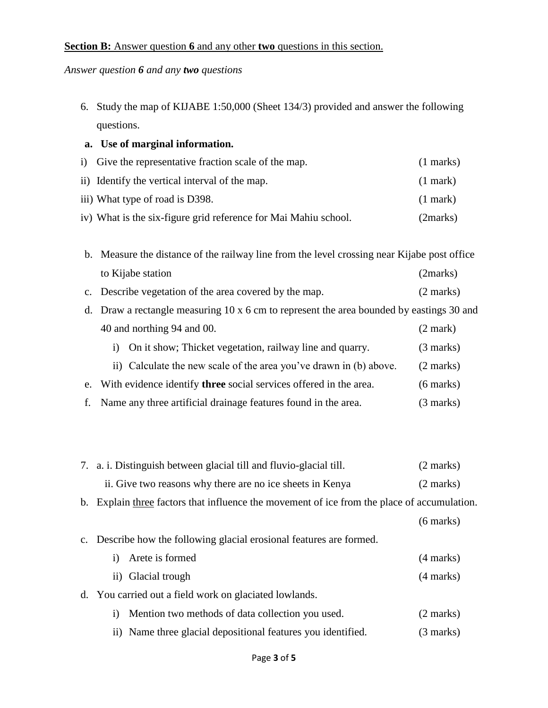### **Section B:** Answer question **6** and any other **two** questions in this section.

*Answer question 6 and any two questions*

6. Study the map of KIJABE 1:50,000 (Sheet 134/3) provided and answer the following questions.

## **a. Use of marginal information.**

| i) Give the representative fraction scale of the map.           | $(1 \text{ marks})$ |
|-----------------------------------------------------------------|---------------------|
| ii) Identify the vertical interval of the map.                  | $(1$ mark)          |
| iii) What type of road is D398.                                 | $(1$ mark)          |
| iv) What is the six-figure grid reference for Mai Mahiu school. | (2 marks)           |

| b. Measure the distance of the railway line from the level crossing near Kijabe post office     |                     |  |  |
|-------------------------------------------------------------------------------------------------|---------------------|--|--|
| to Kijabe station                                                                               | (2marks)            |  |  |
| c. Describe vegetation of the area covered by the map.                                          | (2 marks)           |  |  |
| d. Draw a rectangle measuring $10 \times 6$ cm to represent the area bounded by eastings 30 and |                     |  |  |
| 40 and northing 94 and 00.                                                                      | $(2 \text{ mark})$  |  |  |
| On it show; Thicket vegetation, railway line and quarry.<br>$\bf{1)}$                           | $(3 \text{ marks})$ |  |  |
| ii) Calculate the new scale of the area you've drawn in (b) above.                              | (2 marks)           |  |  |

- e. With evidence identify **three** social services offered in the area. (6 marks)
- f. Name any three artificial drainage features found in the area. (3 marks)

| 7. a. i. Distinguish between glacial till and fluvio-glacial till. | (2 marks) |
|--------------------------------------------------------------------|-----------|
| ii. Give two reasons why there are no ice sheets in Kenya          | (2 marks) |

b. Explain three factors that influence the movement of ice from the place of accumulation.

```
 (6 marks)
```
c. Describe how the following glacial erosional features are formed.

| i) Arete is formed                                           | $(4 \text{ marks})$ |
|--------------------------------------------------------------|---------------------|
| ii) Glacial trough                                           | $(4 \text{ marks})$ |
| d. You carried out a field work on glaciated lowlands.       |                     |
| i) Mention two methods of data collection you used.          | $(2 \text{ marks})$ |
| ii) Name three glacial depositional features you identified. | $(3 \text{ marks})$ |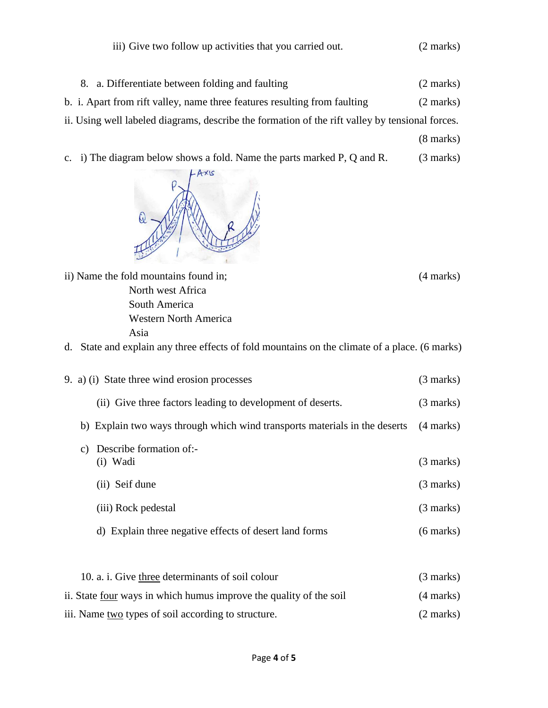|  |  |  | iii) Give two follow up activities that you carried out. | (2 marks) |
|--|--|--|----------------------------------------------------------|-----------|
|--|--|--|----------------------------------------------------------|-----------|

- 8. a. Differentiate between folding and faulting (2 marks) b. i. Apart from rift valley, name three features resulting from faulting (2 marks) ii. Using well labeled diagrams, describe the formation of the rift valley by tensional forces. (8 marks)
- c. i) The diagram below shows a fold. Name the parts marked P, Q and R. (3 marks)



ii) Name the fold mountains found in; (4 marks) North west Africa South America Western North America Asia

d. State and explain any three effects of fold mountains on the climate of a place. (6 marks)

| 9. a) (i) State three wind erosion processes                               | $(3 \text{ marks})$ |
|----------------------------------------------------------------------------|---------------------|
| (ii) Give three factors leading to development of deserts.                 | $(3 \text{ marks})$ |
| b) Explain two ways through which wind transports materials in the deserts | $(4 \text{ marks})$ |
| Describe formation of:-<br>C)<br>$(i)$ Wadi                                | $(3 \text{ marks})$ |
| (ii) Seif dune                                                             | $(3 \text{ marks})$ |
| (iii) Rock pedestal                                                        | $(3 \text{ marks})$ |
| d) Explain three negative effects of desert land forms                     | $(6 \text{ marks})$ |
|                                                                            |                     |
| 10. a. i. Give three determinants of soil colour                           | $(3 \text{ marks})$ |

| ii. State four ways in which humus improve the quality of the soil | $(4 \text{ marks})$ |
|--------------------------------------------------------------------|---------------------|
| iii. Name two types of soil according to structure.                | $(2 \text{ marks})$ |